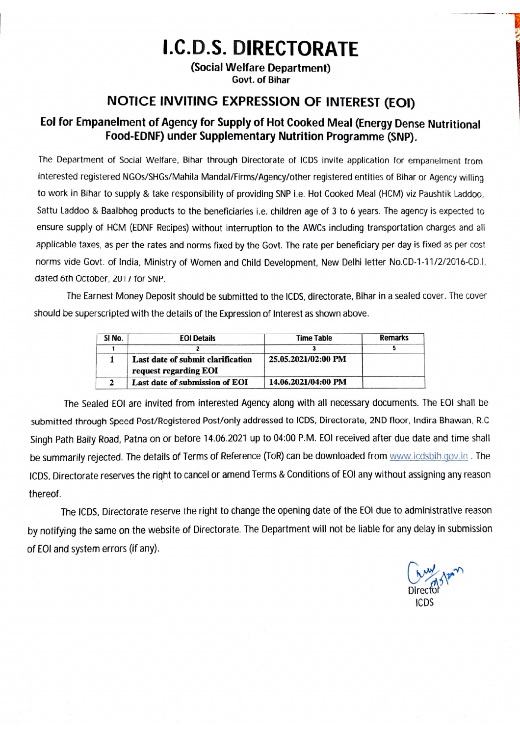# **I.C.D.S. DIRECTORATE**

(Social Welfare Department) Govt. of Bihar

# **NOTICE INVITING EXPRESSION OF INTEREST (EOI)**

# Eol for Empanelment of Agency for Supply of Hot Cooked Meal (Energy Dense Nutritional Food-EDNF) under Supplementary Nutrition Programme (SNP).

The Department of Social Welfare, Bihar through Directorate of ICDS invite application for empanelment from interested registered NGOs/SHGs/Mahila Mandal/Firms/Agency/other registered entities of Bihar or Agency willing to work in Bihar to supply & take responsibility of providing SNP i.e. Hot Cooked Meal (HCM) viz Paushtik Laddoo. Sattu Laddoo & Baalbhog products to the beneficiaries i.e. children age of 3 to 6 years. The agency is expected to ensure supply of HCM (EDNF Recipes) without interruption to the AWCs including transportation charges and all applicable taxes, as per the rates and norms fixed by the Govt. The rate per beneficiary per day is fixed as per cost norms vide Govt. of India, Ministry of Women and Child Development, New Delhi letter No.CD-1-11/2/2016-CD.I. dated 6th October, 2017 for SNP.

The Earnest Money Deposit should be submitted to the ICDS, directorate, Bihar in a sealed cover. The cover should be superscripted with the details of the Expression of Interest as shown above.

| SI No. | <b>EOI Details</b>                                         | Time Table          | <b>Remarks</b> |
|--------|------------------------------------------------------------|---------------------|----------------|
|        |                                                            |                     |                |
|        | Last date of submit clarification<br>request regarding EOI | 25.05.2021/02:00 PM |                |
|        | Last date of submission of EOI                             | 14.06.2021/04:00 PM |                |

The Sealed EOI are invited from interested Agency along with all necessary documents. The EOI shall be submitted through Speed Post/Registered Post/only addressed to ICDS, Directorate, 2ND floor, Indira Bhawan, R.C. Singh Path Baily Road, Patna on or before 14.06.2021 up to 04:00 P.M. EOI received after due date and time shall be summarily rejected. The details of Terms of Reference (ToR) can be downloaded from www.icdsbih.gov.in. The ICDS. Directorate reserves the right to cancel or amend Terms & Conditions of EOI any without assigning any reason thereof.

The ICDS, Directorate reserve the right to change the opening date of the EOI due to administrative reason by notifying the same on the website of Directorate. The Department will not be liable for any delay in submission of EOI and system errors (if any).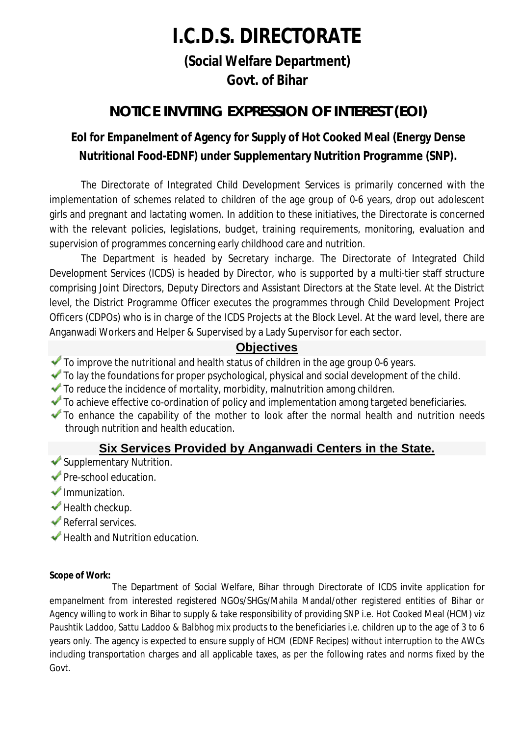# **I.C.D.S. DIRECTORATE**

**(Social Welfare Department) Govt. of Bihar**

# **NOTICE INVITING EXPRESSION OF INTEREST (EOI)**

# **EoI for Empanelment of Agency for Supply of Hot Cooked Meal (Energy Dense Nutritional Food-EDNF) under Supplementary Nutrition Programme (SNP).**

The Directorate of Integrated Child Development Services is primarily concerned with the implementation of schemes related to children of the age group of 0-6 years, drop out adolescent girls and pregnant and lactating women. In addition to these initiatives, the Directorate is concerned with the relevant policies, legislations, budget, training requirements, monitoring, evaluation and supervision of programmes concerning early childhood care and nutrition.

The Department is headed by Secretary incharge. The Directorate of Integrated Child Development Services (ICDS) is headed by Director, who is supported by a multi-tier staff structure comprising Joint Directors, Deputy Directors and Assistant Directors at the State level. At the District level, the District Programme Officer executes the programmes through Child Development Project Officers (CDPOs) who is in charge of the ICDS Projects at the Block Level. At the ward level, there are Anganwadi Workers and Helper & Supervised by a Lady Supervisor for each sector.

# **Objectives**

- To improve the nutritional and health status of children in the age group 0-6 years.
- $\blacktriangledown$  To lay the foundations for proper psychological, physical and social development of the child.
- $\blacktriangleright$  To reduce the incidence of mortality, morbidity, malnutrition among children.
- $\blacktriangleright$  To achieve effective co-ordination of policy and implementation among targeted beneficiaries.
- To enhance the capability of the mother to look after the normal health and nutrition needs through nutrition and health education.

# **Six Services Provided by Anganwadi Centers in the State.**

- Supplementary Nutrition.
- Pre-school education.
- $\blacktriangleright$  Immunization.
- $\blacktriangleright$  Health checkup.
- Referral services.
- $\blacktriangleright$  Health and Nutrition education.

#### **Scope of Work:**

The Department of Social Welfare, Bihar through Directorate of ICDS invite application for empanelment from interested registered NGOs/SHGs/Mahila Mandal/other registered entities of Bihar or Agency willing to work in Bihar to supply & take responsibility of providing SNP i.e. Hot Cooked Meal (HCM) viz Paushtik Laddoo, Sattu Laddoo & Balbhog mix products to the beneficiaries i.e. children up to the age of 3 to 6 years only. The agency is expected to ensure supply of HCM (EDNF Recipes) without interruption to the AWCs including transportation charges and all applicable taxes, as per the following rates and norms fixed by the Govt.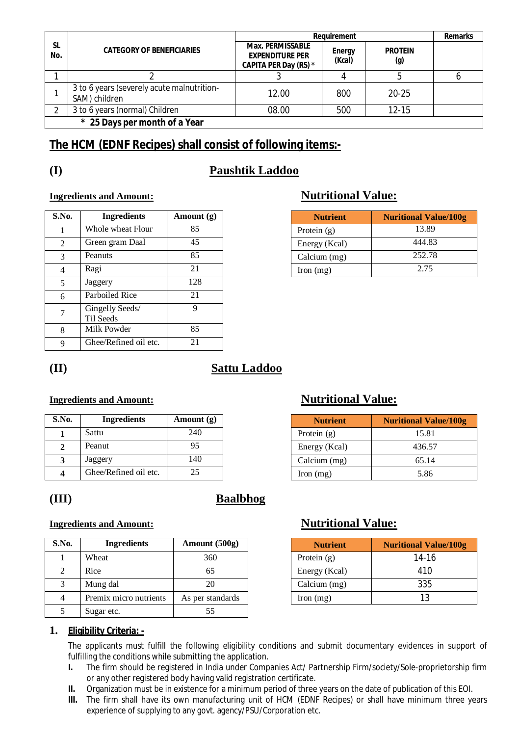|                  |                                                             | Requirement                                                                | <b>Remarks</b>          |                       |  |
|------------------|-------------------------------------------------------------|----------------------------------------------------------------------------|-------------------------|-----------------------|--|
| <b>SL</b><br>No. | <b>CATEGORY OF BENEFICIARIES</b>                            | <b>Max. PERMISSABLE</b><br><b>EXPENDITURE PER</b><br>CAPITA PER Day (RS) * | <b>Energy</b><br>(Kcal) | <b>PROTEIN</b><br>(g) |  |
|                  |                                                             |                                                                            |                         |                       |  |
|                  | 3 to 6 years (severely acute malnutrition-<br>SAM) children | 12.00                                                                      | 800                     | $20 - 25$             |  |
| າ                | 3 to 6 years (normal) Children                              | 08.00                                                                      | 500                     | $12 - 15$             |  |
|                  | * 25 Days per month of a Year                               |                                                                            |                         |                       |  |

# **The HCM (EDNF Recipes) shall consist of following items:-**

# **(I) Paushtik Laddoo**

### **Ingredients and Amount: Nutritional Value:**

| <b>S.No.</b>   | <b>Ingredients</b>           | Amount $(g)$ |
|----------------|------------------------------|--------------|
|                | Whole wheat Flour            | 85           |
| 2              | Green gram Daal              | 45           |
| 3              | Peanuts                      | 85           |
| $\overline{4}$ | Ragi                         | 21           |
| 5              | Jaggery                      | 128          |
| 6              | Parboiled Rice               | 21           |
| 7              | Gingelly Seeds/<br>Til Seeds | 9            |
| 8              | Milk Powder                  | 85           |
| 9              | Ghee/Refined oil etc.        | 21           |

| S.No. | <b>Ingredients</b> | Amount $(g)$ | <b>Nutrient</b>      | <b>Nuritional Value/100g</b> |
|-------|--------------------|--------------|----------------------|------------------------------|
|       | Whole wheat Flour  | 85           | Protein $(g)$        | 13.89                        |
|       | Green gram Daal    | 45           | Energy (Kcal)        | 444.83                       |
|       | Peanuts            |              | Calcium (mg)         | 252.78                       |
|       | Ragi               |              | $\Gamma$ Iron $(mg)$ | 2.75                         |

# **(II) Sattu Laddoo**

### **Ingredients and Amount: Nutritional Value:**

| S.No. | <b>Ingredients</b>    | Amount $(g)$ |
|-------|-----------------------|--------------|
|       | Sattu                 | 240          |
|       | Peanut                | 95           |
|       | Jaggery               | 140          |
|       | Ghee/Refined oil etc. | 25           |

# **(III) Baalbhog**

#### **Ingredients and Amount: Nutritional Value:**

| S.No. | <b>Ingredients</b>     | Amount $(500g)$  | <b>Nutrient</b> | <b>Nuritional Value/100g</b> |
|-------|------------------------|------------------|-----------------|------------------------------|
|       | Wheat                  | 360              | Protein $(g)$   | $14-16$                      |
|       | Rice                   | 65               | Energy (Kcal)   | 410                          |
|       | Mung dal               | 20               | Calcium (mg)    | 335                          |
|       | Premix micro nutrients | As per standards | Iron $(mg)$     | 13                           |
|       | Sugar etc.             | 55               |                 |                              |

#### **2 2 2 2 2 2 436.57**  $\text{Calcium (mg)}$  65.14

| <b>Nutrient</b> | <b>Nuritional Value/100g</b> |
|-----------------|------------------------------|
| Protein $(g)$   | 14-16                        |
| Energy (Kcal)   | 410                          |
| Calcium (mg)    | 335                          |
| Iron $(mg)$     | 13                           |

**S.No. Ingredients Amount (g) Nutrient Nuritional Value/100g**

### **1. Eligibility Criteria: -**

The applicants must fulfill the following eligibility conditions and submit documentary evidences in support of fulfilling the conditions while submitting the application.

- **I.** The firm should be registered in India under Companies Act/ Partnership Firm/society/Sole-proprietorship firm or any other registered body having valid registration certificate.
- **II.** Organization must be in existence for a minimum period of three years on the date of publication of this EOI.
- **III.** The firm shall have its own manufacturing unit of HCM (EDNF Recipes) or shall have minimum three years experience of supplying to any govt. agency/PSU/Corporation etc.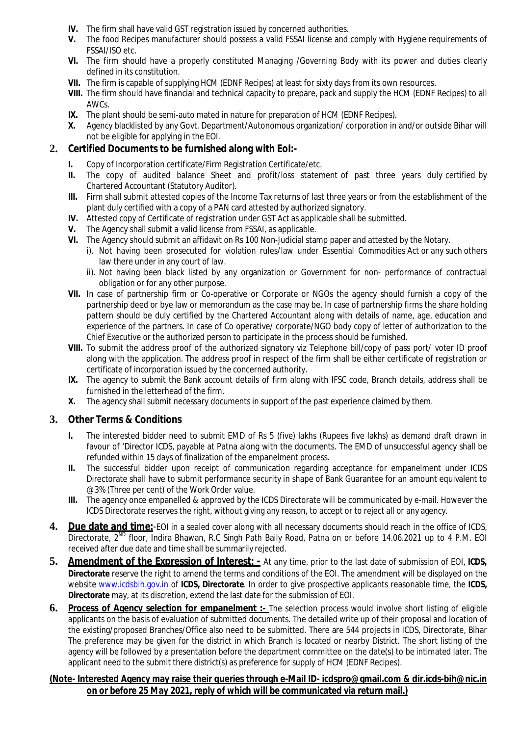- **IV.** The firm shall have valid GST registration issued by concerned authorities.
- **V.** The food Recipes manufacturer should possess a valid FSSAI license and comply with Hygiene requirements of FSSAI/ISO etc.
- **VI.** The firm should have a properly constituted Managing /Governing Body with its power and duties clearly defined in its constitution.
- **VII.** The firm is capable of supplying HCM (EDNF Recipes) at least for sixty days from its own resources.
- **VIII.** The firm should have financial and technical capacity to prepare, pack and supply the HCM (EDNF Recipes) to all AWCs.
- **IX.** The plant should be semi-auto mated in nature for preparation of HCM (EDNF Recipes).
- **X.** Agency blacklisted by any Govt. Department/Autonomous organization/ corporation in and/or outside Bihar will not be eligible for applying in the EOI.

#### **2. Certified Documents to be furnished along with EoI:-**

- **I.** Copy of Incorporation certificate/Firm Registration Certificate/etc.
- **II.** The copy of audited balance Sheet and profit/loss statement of past three years duly certified by Chartered Accountant (Statutory Auditor).
- **III.** Firm shall submit attested copies of the Income Tax returns of last three years or from the establishment of the plant duly certified with a copy of a PAN card attested by authorized signatory.
- **IV.** Attested copy of Certificate of registration under GST Act as applicable shall be submitted.
- **V.** The Agency shall submit a valid license from FSSAI, as applicable.
- **VI.** The Agency should submit an affidavit on Rs 100 Non-Judicial stamp paper and attested by the Notary.
	- i). Not having been prosecuted for violation rules/law under Essential Commodities Act or any such others law there under in any court of law.
	- ii). Not having been black listed by any organization or Government for non- performance of contractual obligation or for any other purpose.
- **VII.** In case of partnership firm or Co-operative or Corporate or NGOs the agency should furnish a copy of the partnership deed or bye law or memorandum as the case may be. In case of partnership firms the share holding pattern should be duly certified by the Chartered Accountant along with details of name, age, education and experience of the partners. In case of Co operative/ corporate/NGO body copy of letter of authorization to the Chief Executive or the authorized person to participate in the process should be furnished.
- **VIII.** To submit the address proof of the authorized signatory viz Telephone bill/copy of pass port/ voter ID proof along with the application. The address proof in respect of the firm shall be either certificate of registration or certificate of incorporation issued by the concerned authority.
- **IX.** The agency to submit the Bank account details of firm along with IFSC code, Branch details, address shall be furnished in the letterhead of the firm.
- **X.** The agency shall submit necessary documents in support of the past experience claimed by them.

#### **3. Other Terms & Conditions**

- **I.** The interested bidder need to submit EMD of Rs 5 (five) lakhs (Rupees five lakhs) as demand draft drawn in favour of 'Director ICDS, payable at Patna along with the documents. The EMD of unsuccessful agency shall be refunded within 15 days of finalization of the empanelment process.
- **II.** The successful bidder upon receipt of communication regarding acceptance for empanelment under ICDS Directorate shall have to submit performance security in shape of Bank Guarantee for an amount equivalent to @3% (Three per cent) of the Work Order value.
- **III.** The agency once empanelled & approved by the ICDS Directorate will be communicated by e-mail. However the ICDS Directorate reserves the right, without giving any reason, to accept or to reject all or any agency.
- **4. Due date and time:**-EOI in a sealed cover along with all necessary documents should reach in the office of ICDS, Directorate, 2<sup>ND</sup> floor, Indira Bhawan, R.C Singh Path Baily Road, Patna on or before 14.06.2021 up to 4 P.M. EOI received after due date and time shall be summarily rejected.
- **5. Amendment of the Expression of Interest: -** At any time, prior to the last date of submission of EOI, **ICDS, Directorate** reserve the right to amend the terms and conditions of the EOI. The amendment will be displayed on the website www.icdsbih.gov.in of **ICDS, Directorate**. In order to give prospective applicants reasonable time, the **ICDS, Directorate** may, at its discretion, extend the last date for the submission of EOI.
- **6.** Process of Agency selection for empanelment :- The selection process would involve short listing of eligible applicants on the basis of evaluation of submitted documents. The detailed write up of their proposal and location of the existing/proposed Branches/Office also need to be submitted. There are 544 projects in ICDS, Directorate, Bihar The preference may be given for the district in which Branch is located or nearby District. The short listing of the agency will be followed by a presentation before the department committee on the date(s) to be intimated later. The applicant need to the submit there district(s) as preference for supply of HCM (EDNF Recipes).

#### **(Note- Interested Agency may raise their queries through e-Mail ID- icdspro@gmail.com & dir.icds-bih@nic.in on or before 25 May 2021, reply of which will be communicated via return mail.)**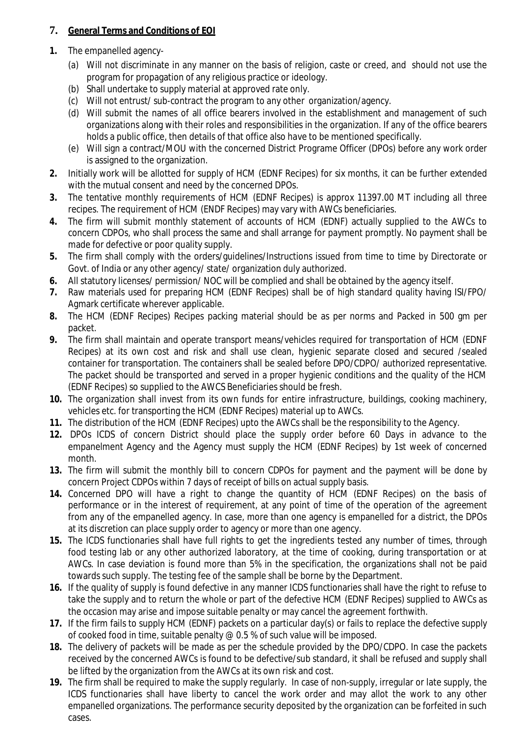### **7. General Terms and Conditions of EOI**

- **1.** The empanelled agency-
	- (a) Will not discriminate in any manner on the basis of religion, caste or creed, and should not use the program for propagation of any religious practice or ideology.
	- (b) Shall undertake to supply material at approved rate only.
	- (c) Will not entrust/ sub-contract the program to any other organization/agency.
	- (d) Will submit the names of all office bearers involved in the establishment and management of such organizations along with their roles and responsibilities in the organization. If any of the office bearers holds a public office, then details of that office also have to be mentioned specifically.
	- (e) Will sign a contract/MOU with the concerned District Programe Officer (DPOs) before any work order is assigned to the organization.
- **2.** Initially work will be allotted for supply of HCM (EDNF Recipes) for six months, it can be further extended with the mutual consent and need by the concerned DPOs.
- **3.** The tentative monthly requirements of HCM (EDNF Recipes) is approx 11397.00 MT including all three recipes. The requirement of HCM (ENDF Recipes) may vary with AWCs beneficiaries.
- **4.** The firm will submit monthly statement of accounts of HCM (EDNF) actually supplied to the AWCs to concern CDPOs, who shall process the same and shall arrange for payment promptly. No payment shall be made for defective or poor quality supply.
- **5.** The firm shall comply with the orders/guidelines/Instructions issued from time to time by Directorate or Govt. of India or any other agency/ state/ organization duly authorized.
- **6.** All statutory licenses/ permission/ NOC will be complied and shall be obtained by the agency itself.
- **7.** Raw materials used for preparing HCM (EDNF Recipes) shall be of high standard quality having ISI/FPO/ Agmark certificate wherever applicable.
- **8.** The HCM (EDNF Recipes) Recipes packing material should be as per norms and Packed in 500 gm per packet.
- **9.** The firm shall maintain and operate transport means/vehicles required for transportation of HCM (EDNF Recipes) at its own cost and risk and shall use clean, hygienic separate closed and secured /sealed container for transportation. The containers shall be sealed before DPO/CDPO/ authorized representative. The packet should be transported and served in a proper hygienic conditions and the quality of the HCM (EDNF Recipes) so supplied to the AWCS Beneficiaries should be fresh.
- **10.** The organization shall invest from its own funds for entire infrastructure, buildings, cooking machinery, vehicles etc. for transporting the HCM (EDNF Recipes) material up to AWCs.
- **11.** The distribution of the HCM (EDNF Recipes) upto the AWCs shall be the responsibility to the Agency.
- **12.** DPOs ICDS of concern District should place the supply order before 60 Days in advance to the empanelment Agency and the Agency must supply the HCM (EDNF Recipes) by 1st week of concerned month.
- **13.** The firm will submit the monthly bill to concern CDPOs for payment and the payment will be done by concern Project CDPOs within 7 days of receipt of bills on actual supply basis.
- **14.** Concerned DPO will have a right to change the quantity of HCM (EDNF Recipes) on the basis of performance or in the interest of requirement, at any point of time of the operation of the agreement from any of the empanelled agency. In case, more than one agency is empanelled for a district, the DPOs at its discretion can place supply order to agency or more than one agency.
- **15.** The ICDS functionaries shall have full rights to get the ingredients tested any number of times, through food testing lab or any other authorized laboratory, at the time of cooking, during transportation or at AWCs. In case deviation is found more than 5% in the specification, the organizations shall not be paid towards such supply. The testing fee of the sample shall be borne by the Department.
- **16.** If the quality of supply is found defective in any manner ICDS functionaries shall have the right to refuse to take the supply and to return the whole or part of the defective HCM (EDNF Recipes) supplied to AWCs as the occasion may arise and impose suitable penalty or may cancel the agreement forthwith.
- **17.** If the firm fails to supply HCM (EDNF) packets on a particular day(s) or fails to replace the defective supply of cooked food in time, suitable penalty @ 0.5 % of such value will be imposed.
- **18.** The delivery of packets will be made as per the schedule provided by the DPO/CDPO. In case the packets received by the concerned AWCs is found to be defective/sub standard, it shall be refused and supply shall be lifted by the organization from the AWCs at its own risk and cost.
- **19.** The firm shall be required to make the supply regularly. In case of non-supply, irregular or late supply, the ICDS functionaries shall have liberty to cancel the work order and may allot the work to any other empanelled organizations. The performance security deposited by the organization can be forfeited in such cases.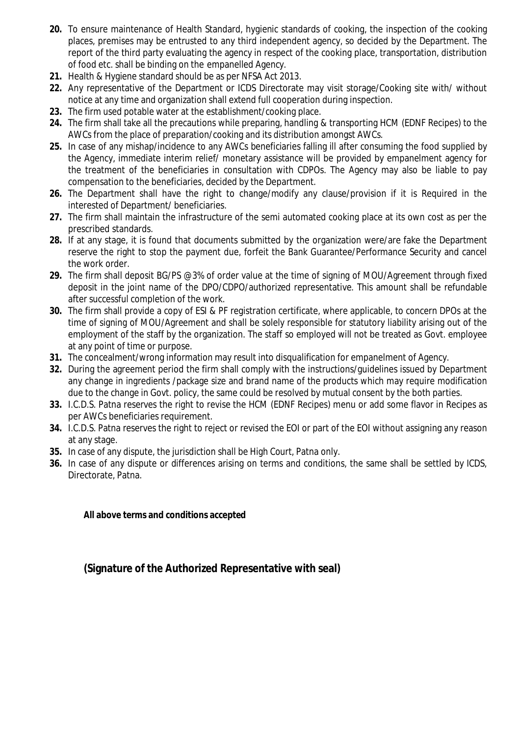- **20.** To ensure maintenance of Health Standard, hygienic standards of cooking, the inspection of the cooking places, premises may be entrusted to any third independent agency, so decided by the Department. The report of the third party evaluating the agency in respect of the cooking place, transportation, distribution of food etc. shall be binding on the empanelled Agency.
- **21.** Health & Hygiene standard should be as per NFSA Act 2013.
- **22.** Any representative of the Department or ICDS Directorate may visit storage/Cooking site with/ without notice at any time and organization shall extend full cooperation during inspection.
- **23.** The firm used potable water at the establishment/cooking place.
- **24.** The firm shall take all the precautions while preparing, handling & transporting HCM (EDNF Recipes) to the AWCs from the place of preparation/cooking and its distribution amongst AWCs.
- **25.** In case of any mishap/incidence to any AWCs beneficiaries falling ill after consuming the food supplied by the Agency, immediate interim relief/ monetary assistance will be provided by empanelment agency for the treatment of the beneficiaries in consultation with CDPOs. The Agency may also be liable to pay compensation to the beneficiaries, decided by the Department.
- **26.** The Department shall have the right to change/modify any clause/provision if it is Required in the interested of Department/ beneficiaries.
- **27.** The firm shall maintain the infrastructure of the semi automated cooking place at its own cost as per the prescribed standards.
- **28.** If at any stage, it is found that documents submitted by the organization were/are fake the Department reserve the right to stop the payment due, forfeit the Bank Guarantee/Performance Security and cancel the work order.
- **29.** The firm shall deposit BG/PS @3% of order value at the time of signing of MOU/Agreement through fixed deposit in the joint name of the DPO/CDPO/authorized representative. This amount shall be refundable after successful completion of the work.
- **30.** The firm shall provide a copy of ESI & PF registration certificate, where applicable, to concern DPOs at the time of signing of MOU/Agreement and shall be solely responsible for statutory liability arising out of the employment of the staff by the organization. The staff so employed will not be treated as Govt. employee at any point of time or purpose.
- **31.** The concealment/wrong information may result into disqualification for empanelment of Agency.
- **32.** During the agreement period the firm shall comply with the instructions/guidelines issued by Department any change in ingredients /package size and brand name of the products which may require modification due to the change in Govt. policy, the same could be resolved by mutual consent by the both parties.
- **33.** I.C.D.S. Patna reserves the right to revise the HCM (EDNF Recipes) menu or add some flavor in Recipes as per AWCs beneficiaries requirement.
- **34.** I.C.D.S. Patna reserves the right to reject or revised the EOI or part of the EOI without assigning any reason at any stage.
- **35.** In case of any dispute, the jurisdiction shall be High Court, Patna only.
- **36.** In case of any dispute or differences arising on terms and conditions, the same shall be settled by ICDS, Directorate, Patna.

#### **All above terms and conditions accepted**

# **(Signature of the Authorized Representative with seal)**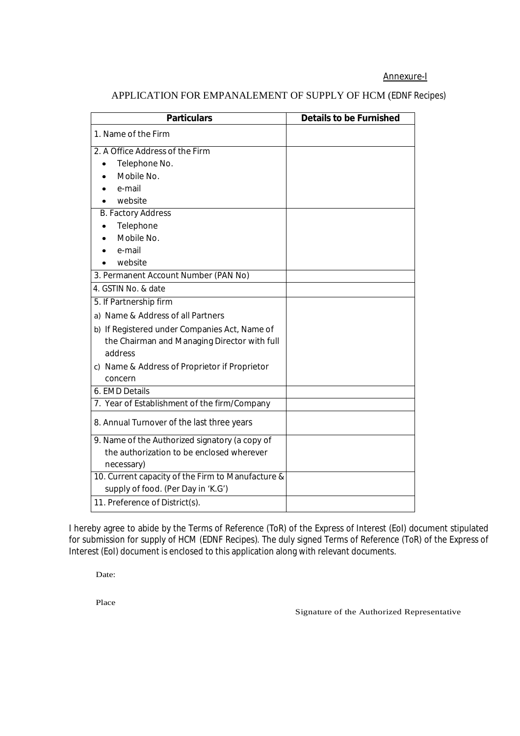#### Annexure-I

| <b>Particulars</b>                                | <b>Details to be Furnished</b> |
|---------------------------------------------------|--------------------------------|
| 1. Name of the Firm                               |                                |
| 2. A Office Address of the Firm                   |                                |
| Telephone No.                                     |                                |
| Mobile No.                                        |                                |
| e-mail                                            |                                |
| website                                           |                                |
| <b>B. Factory Address</b>                         |                                |
| Telephone                                         |                                |
| Mobile No.                                        |                                |
| e-mail                                            |                                |
| website                                           |                                |
| 3. Permanent Account Number (PAN No)              |                                |
| 4. GSTIN No. & date                               |                                |
| 5. If Partnership firm                            |                                |
| a) Name & Address of all Partners                 |                                |
| b) If Registered under Companies Act, Name of     |                                |
| the Chairman and Managing Director with full      |                                |
| address                                           |                                |
| c) Name & Address of Proprietor if Proprietor     |                                |
| concern                                           |                                |
| 6. EMD Details                                    |                                |
| 7. Year of Establishment of the firm/Company      |                                |
| 8. Annual Turnover of the last three years        |                                |
| 9. Name of the Authorized signatory (a copy of    |                                |
| the authorization to be enclosed wherever         |                                |
| necessary)                                        |                                |
| 10. Current capacity of the Firm to Manufacture & |                                |
| supply of food. (Per Day in 'K.G')                |                                |
| 11. Preference of District(s).                    |                                |

#### APPLICATION FOR EMPANALEMENT OF SUPPLY OF HCM (EDNF Recipes)

I hereby agree to abide by the Terms of Reference (ToR) of the Express of Interest (EoI) document stipulated for submission for supply of HCM (EDNF Recipes). The duly signed Terms of Reference (ToR) of the Express of Interest (EoI) document is enclosed to this application along with relevant documents.

Date:

Place

Signature of the Authorized Representative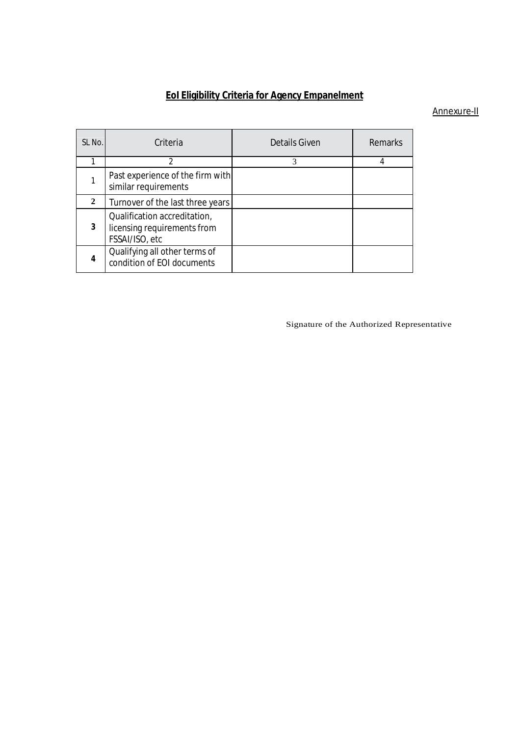# **EoI Eligibility Criteria for Agency Empanelment**

#### Annexure-II

| SL No.       | Criteria                                                                      | <b>Details Given</b> | Remarks |
|--------------|-------------------------------------------------------------------------------|----------------------|---------|
|              | $\mathfrak{p}$                                                                | 3                    |         |
|              | Past experience of the firm with<br>similar requirements                      |                      |         |
| $\mathbf{2}$ | Turnover of the last three years                                              |                      |         |
| 3            | Qualification accreditation,<br>licensing requirements from<br>FSSAI/ISO, etc |                      |         |
| 4            | Qualifying all other terms of<br>condition of EOI documents                   |                      |         |

Signature of the Authorized Representative